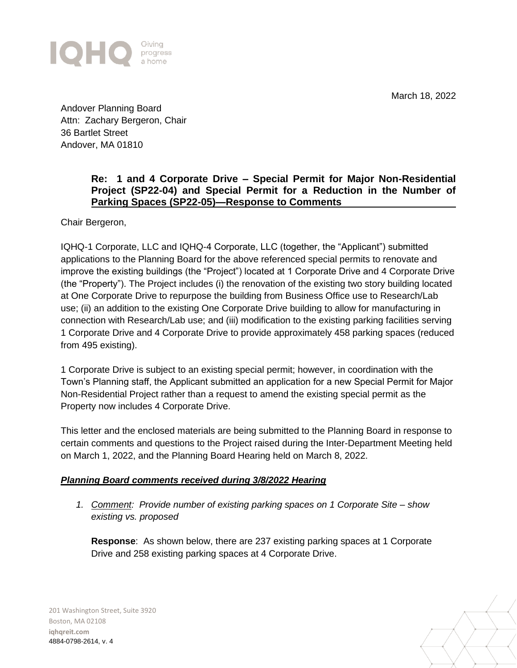March 18, 2022



Andover Planning Board Attn: Zachary Bergeron, Chair 36 Bartlet Street Andover, MA 01810

## **Re: 1 and 4 Corporate Drive – Special Permit for Major Non-Residential Project (SP22-04) and Special Permit for a Reduction in the Number of Parking Spaces (SP22-05)—Response to Comments**

Chair Bergeron,

IQHQ-1 Corporate, LLC and IQHQ-4 Corporate, LLC (together, the "Applicant") submitted applications to the Planning Board for the above referenced special permits to renovate and improve the existing buildings (the "Project") located at 1 Corporate Drive and 4 Corporate Drive (the "Property"). The Project includes (i) the renovation of the existing two story building located at One Corporate Drive to repurpose the building from Business Office use to Research/Lab use; (ii) an addition to the existing One Corporate Drive building to allow for manufacturing in connection with Research/Lab use; and (iii) modification to the existing parking facilities serving 1 Corporate Drive and 4 Corporate Drive to provide approximately 458 parking spaces (reduced from 495 existing).

1 Corporate Drive is subject to an existing special permit; however, in coordination with the Town's Planning staff, the Applicant submitted an application for a new Special Permit for Major Non-Residential Project rather than a request to amend the existing special permit as the Property now includes 4 Corporate Drive.

This letter and the enclosed materials are being submitted to the Planning Board in response to certain comments and questions to the Project raised during the Inter-Department Meeting held on March 1, 2022, and the Planning Board Hearing held on March 8, 2022.

## *Planning Board comments received during 3/8/2022 Hearing*

*1. Comment: Provide number of existing parking spaces on 1 Corporate Site – show existing vs. proposed* 

**Response**: As shown below, there are 237 existing parking spaces at 1 Corporate Drive and 258 existing parking spaces at 4 Corporate Drive.

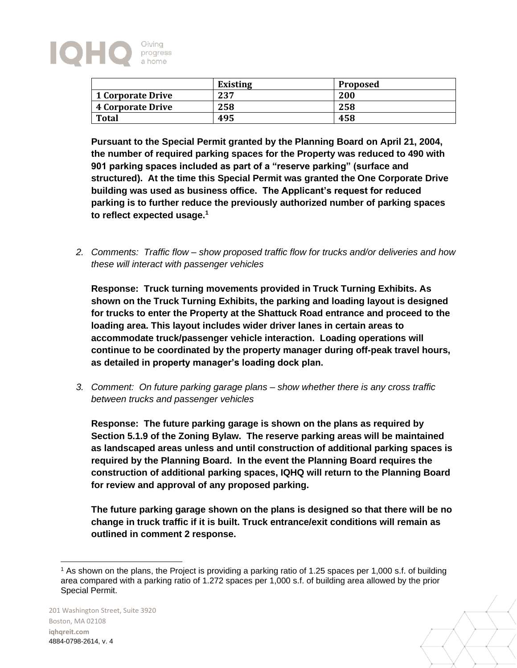

|                          | <b>Existing</b> | <b>Proposed</b> |
|--------------------------|-----------------|-----------------|
| <b>1 Corporate Drive</b> | 237             | 200             |
| <b>4 Corporate Drive</b> | 258             | 258             |
| <b>Total</b>             | 495             | 458             |

**Pursuant to the Special Permit granted by the Planning Board on April 21, 2004, the number of required parking spaces for the Property was reduced to 490 with 901 parking spaces included as part of a "reserve parking" (surface and structured). At the time this Special Permit was granted the One Corporate Drive building was used as business office. The Applicant's request for reduced parking is to further reduce the previously authorized number of parking spaces to reflect expected usage.<sup>1</sup>**

*2. Comments: Traffic flow – show proposed traffic flow for trucks and/or deliveries and how these will interact with passenger vehicles*

**Response: Truck turning movements provided in Truck Turning Exhibits. As shown on the Truck Turning Exhibits, the parking and loading layout is designed for trucks to enter the Property at the Shattuck Road entrance and proceed to the loading area. This layout includes wider driver lanes in certain areas to accommodate truck/passenger vehicle interaction. Loading operations will continue to be coordinated by the property manager during off-peak travel hours, as detailed in property manager's loading dock plan.**

*3. Comment: On future parking garage plans – show whether there is any cross traffic between trucks and passenger vehicles*

**Response: The future parking garage is shown on the plans as required by Section 5.1.9 of the Zoning Bylaw. The reserve parking areas will be maintained as landscaped areas unless and until construction of additional parking spaces is required by the Planning Board. In the event the Planning Board requires the construction of additional parking spaces, IQHQ will return to the Planning Board for review and approval of any proposed parking.**

**The future parking garage shown on the plans is designed so that there will be no change in truck traffic if it is built. Truck entrance/exit conditions will remain as outlined in comment 2 response.** 



<sup>&</sup>lt;sup>1</sup> As shown on the plans, the Project is providing a parking ratio of 1.25 spaces per 1,000 s.f. of building area compared with a parking ratio of 1.272 spaces per 1,000 s.f. of building area allowed by the prior Special Permit.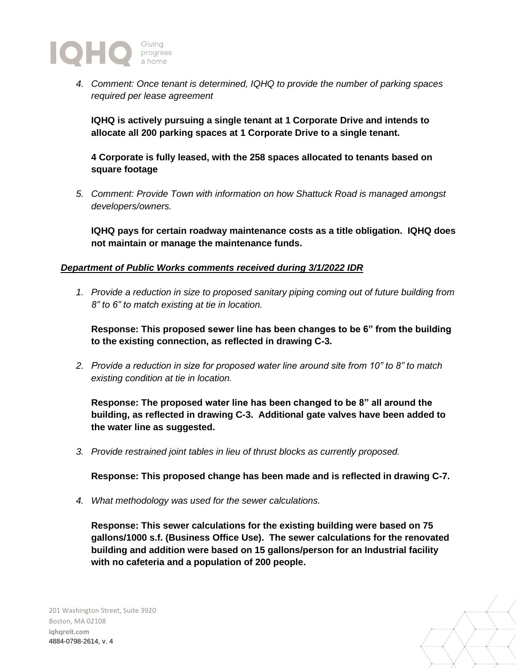

*4. Comment: Once tenant is determined, IQHQ to provide the number of parking spaces required per lease agreement*

**IQHQ is actively pursuing a single tenant at 1 Corporate Drive and intends to allocate all 200 parking spaces at 1 Corporate Drive to a single tenant.** 

**4 Corporate is fully leased, with the 258 spaces allocated to tenants based on square footage**

*5. Comment: Provide Town with information on how Shattuck Road is managed amongst developers/owners.*

**IQHQ pays for certain roadway maintenance costs as a title obligation. IQHQ does not maintain or manage the maintenance funds.**

## *Department of Public Works comments received during 3/1/2022 IDR*

*1. Provide a reduction in size to proposed sanitary piping coming out of future building from 8" to 6" to match existing at tie in location.*

**Response: This proposed sewer line has been changes to be 6" from the building to the existing connection, as reflected in drawing C-3.**

*2. Provide a reduction in size for proposed water line around site from 10" to 8" to match existing condition at tie in location.*

**Response: The proposed water line has been changed to be 8" all around the building, as reflected in drawing C-3. Additional gate valves have been added to the water line as suggested.**

*3. Provide restrained joint tables in lieu of thrust blocks as currently proposed.*

**Response: This proposed change has been made and is reflected in drawing C-7.**

*4. What methodology was used for the sewer calculations.*

**Response: This sewer calculations for the existing building were based on 75 gallons/1000 s.f. (Business Office Use). The sewer calculations for the renovated building and addition were based on 15 gallons/person for an Industrial facility with no cafeteria and a population of 200 people.**